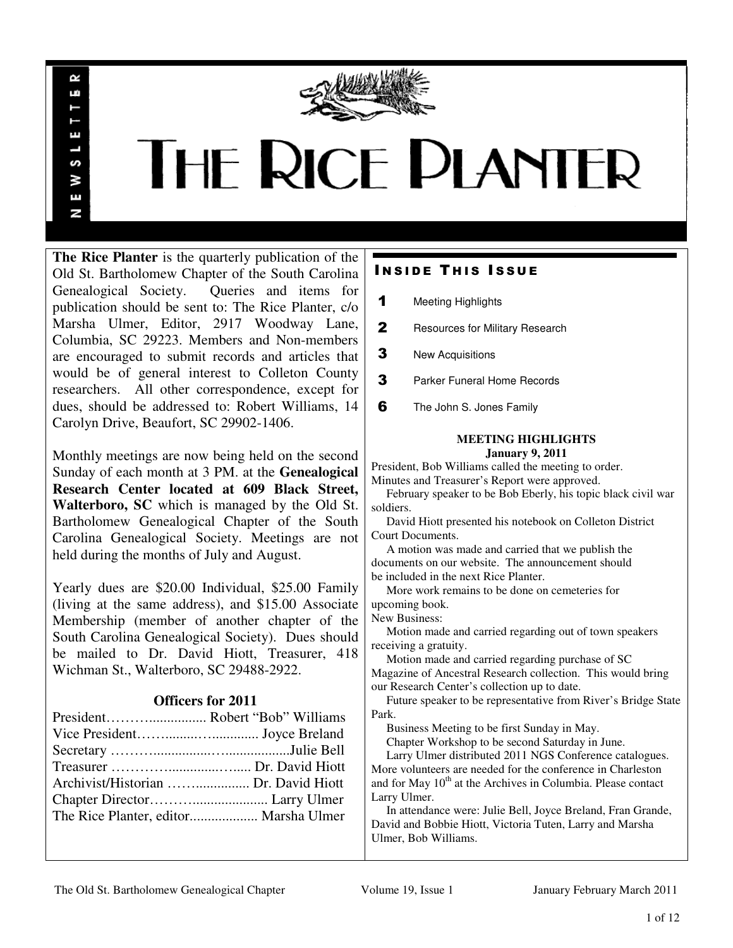

# **THE RICE PLANTER**

**The Rice Planter** is the quarterly publication of the Old St. Bartholomew Chapter of the South Carolina Genealogical Society. Queries and items for publication should be sent to: The Rice Planter, c/o Marsha Ulmer, Editor, 2917 Woodway Lane, Columbia, SC 29223. Members and Non-members are encouraged to submit records and articles that would be of general interest to Colleton County researchers. All other correspondence, except for dues, should be addressed to: Robert Williams, 14 Carolyn Drive, Beaufort, SC 29902-1406.

 $\sim$ uń

ш

S š E N

Monthly meetings are now being held on the second Sunday of each month at 3 PM. at the **Genealogical Research Center located at 609 Black Street, Walterboro, SC** which is managed by the Old St. Bartholomew Genealogical Chapter of the South Carolina Genealogical Society. Meetings are not held during the months of July and August.

Yearly dues are \$20.00 Individual, \$25.00 Family (living at the same address), and \$15.00 Associate Membership (member of another chapter of the South Carolina Genealogical Society). Dues should be mailed to Dr. David Hiott, Treasurer, 418 Wichman St., Walterboro, SC 29488-2922.

# **Officers for 2011**

| Archivist/Historian  Dr. David Hiott  |  |
|---------------------------------------|--|
|                                       |  |
| The Rice Planter, editor Marsha Ulmer |  |

# **INSIDE THIS ISSUE**

- 1 Meeting Highlights
- 2 Resources for Military Research
- **3** New Acquisitions
- **3** Parker Funeral Home Records
- **6** The John S. Jones Family

### **MEETING HIGHLIGHTS January 9, 2011**

President, Bob Williams called the meeting to order.

Minutes and Treasurer's Report were approved.

 February speaker to be Bob Eberly, his topic black civil war soldiers.

 David Hiott presented his notebook on Colleton District Court Documents.

 A motion was made and carried that we publish the documents on our website. The announcement should be included in the next Rice Planter.

 More work remains to be done on cemeteries for upcoming book.

New Business:

 Motion made and carried regarding out of town speakers receiving a gratuity.

 Motion made and carried regarding purchase of SC Magazine of Ancestral Research collection. This would bring our Research Center's collection up to date.

 Future speaker to be representative from River's Bridge State Park.

Business Meeting to be first Sunday in May.

Chapter Workshop to be second Saturday in June.

 Larry Ulmer distributed 2011 NGS Conference catalogues. More volunteers are needed for the conference in Charleston and for May  $10<sup>th</sup>$  at the Archives in Columbia. Please contact Larry Ulmer.

 In attendance were: Julie Bell, Joyce Breland, Fran Grande, David and Bobbie Hiott, Victoria Tuten, Larry and Marsha Ulmer, Bob Williams.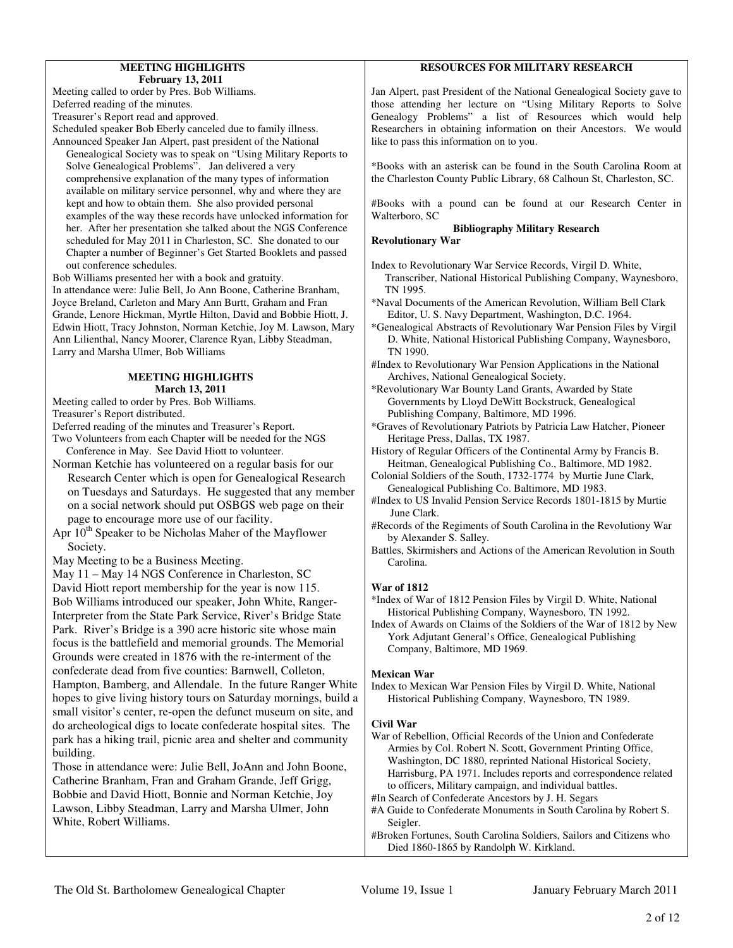### **MEETING HIGHLIGHTS February 13, 2011**

Meeting called to order by Pres. Bob Williams. Deferred reading of the minutes. Treasurer's Report read and approved.

Scheduled speaker Bob Eberly canceled due to family illness. Announced Speaker Jan Alpert, past president of the National

 Genealogical Society was to speak on "Using Military Reports to Solve Genealogical Problems". Jan delivered a very comprehensive explanation of the many types of information available on military service personnel, why and where they are kept and how to obtain them. She also provided personal examples of the way these records have unlocked information for her. After her presentation she talked about the NGS Conference scheduled for May 2011 in Charleston, SC. She donated to our Chapter a number of Beginner's Get Started Booklets and passed out conference schedules.

Bob Williams presented her with a book and gratuity.

In attendance were: Julie Bell, Jo Ann Boone, Catherine Branham, Joyce Breland, Carleton and Mary Ann Burtt, Graham and Fran Grande, Lenore Hickman, Myrtle Hilton, David and Bobbie Hiott, J. Edwin Hiott, Tracy Johnston, Norman Ketchie, Joy M. Lawson, Mary Ann Lilienthal, Nancy Moorer, Clarence Ryan, Libby Steadman, Larry and Marsha Ulmer, Bob Williams

### **MEETING HIGHLIGHTS March 13, 2011**

Meeting called to order by Pres. Bob Williams.

Treasurer's Report distributed.

Deferred reading of the minutes and Treasurer's Report.

Two Volunteers from each Chapter will be needed for the NGS Conference in May. See David Hiott to volunteer.

Norman Ketchie has volunteered on a regular basis for our Research Center which is open for Genealogical Research on Tuesdays and Saturdays. He suggested that any member on a social network should put OSBGS web page on their page to encourage more use of our facility.

Apr  $10^{th}$  Speaker to be Nicholas Maher of the Mayflower Society.

May Meeting to be a Business Meeting.

May 11 – May 14 NGS Conference in Charleston, SC David Hiott report membership for the year is now 115. Bob Williams introduced our speaker, John White, Ranger-Interpreter from the State Park Service, River's Bridge State Park. River's Bridge is a 390 acre historic site whose main focus is the battlefield and memorial grounds. The Memorial Grounds were created in 1876 with the re-interment of the confederate dead from five counties: Barnwell, Colleton, Hampton, Bamberg, and Allendale. In the future Ranger White hopes to give living history tours on Saturday mornings, build a small visitor's center, re-open the defunct museum on site, and do archeological digs to locate confederate hospital sites. The park has a hiking trail, picnic area and shelter and community building.

Those in attendance were: Julie Bell, JoAnn and John Boone, Catherine Branham, Fran and Graham Grande, Jeff Grigg, Bobbie and David Hiott, Bonnie and Norman Ketchie, Joy Lawson, Libby Steadman, Larry and Marsha Ulmer, John White, Robert Williams.

# **RESOURCES FOR MILITARY RESEARCH**

Jan Alpert, past President of the National Genealogical Society gave to those attending her lecture on "Using Military Reports to Solve Genealogy Problems" a list of Resources which would help Researchers in obtaining information on their Ancestors. We would like to pass this information on to you.

\*Books with an asterisk can be found in the South Carolina Room at the Charleston County Public Library, 68 Calhoun St, Charleston, SC.

#Books with a pound can be found at our Research Center in Walterboro, SC

### **Bibliography Military Research**

### **Revolutionary War**

Index to Revolutionary War Service Records, Virgil D. White, Transcriber, National Historical Publishing Company, Waynesboro, TN 1995.

\*Naval Documents of the American Revolution, William Bell Clark Editor, U. S. Navy Department, Washington, D.C. 1964.

\*Genealogical Abstracts of Revolutionary War Pension Files by Virgil D. White, National Historical Publishing Company, Waynesboro, TN 1990.

#Index to Revolutionary War Pension Applications in the National Archives, National Genealogical Society.

\*Revolutionary War Bounty Land Grants, Awarded by State Governments by Lloyd DeWitt Bockstruck, Genealogical Publishing Company, Baltimore, MD 1996.

\*Graves of Revolutionary Patriots by Patricia Law Hatcher, Pioneer Heritage Press, Dallas, TX 1987.

History of Regular Officers of the Continental Army by Francis B. Heitman, Genealogical Publishing Co., Baltimore, MD 1982.

Colonial Soldiers of the South, 1732-1774 by Murtie June Clark, Genealogical Publishing Co. Baltimore, MD 1983.

#Index to US Invalid Pension Service Records 1801-1815 by Murtie June Clark.

#Records of the Regiments of South Carolina in the Revolutiony War by Alexander S. Salley.

Battles, Skirmishers and Actions of the American Revolution in South Carolina.

# **War of 1812**

\*Index of War of 1812 Pension Files by Virgil D. White, National Historical Publishing Company, Waynesboro, TN 1992.

Index of Awards on Claims of the Soldiers of the War of 1812 by New York Adjutant General's Office, Genealogical Publishing Company, Baltimore, MD 1969.

### **Mexican War**

```
Index to Mexican War Pension Files by Virgil D. White, National 
    Historical Publishing Company, Waynesboro, TN 1989.
```
# **Civil War**

War of Rebellion, Official Records of the Union and Confederate Armies by Col. Robert N. Scott, Government Printing Office, Washington, DC 1880, reprinted National Historical Society, Harrisburg, PA 1971. Includes reports and correspondence related to officers, Military campaign, and individual battles.

#In Search of Confederate Ancestors by J. H. Segars

#A Guide to Confederate Monuments in South Carolina by Robert S. **Seigler** 

#Broken Fortunes, South Carolina Soldiers, Sailors and Citizens who Died 1860-1865 by Randolph W. Kirkland.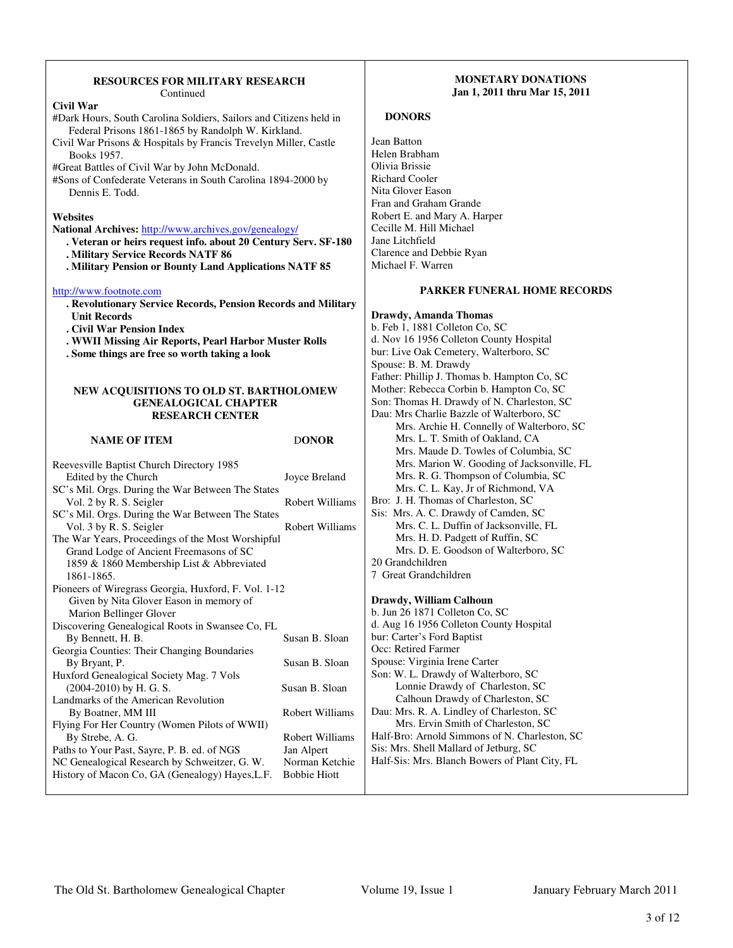### **RESOURCES FOR MILITARY RESEARCH**  Continued

| Civil War |  |
|-----------|--|
|           |  |

#Dark Hours, South Carolina Soldiers, Sailors and Citizens held in Federal Prisons 1861-1865 by Randolph W. Kirkland.

Civil War Prisons & Hospitals by Francis Trevelyn Miller, Castle Books 1957.

#Great Battles of Civil War by John McDonald.

#Sons of Confederate Veterans in South Carolina 1894-2000 by Dennis E. Todd.

### **Websites**

**National Archives:** http://www.archives.gov/genealogy/

- **. Veteran or heirs request info. about 20 Century Serv. SF-180**
- **. Military Service Records NATF 86**
- **. Military Pension or Bounty Land Applications NATF 85**

### http://www.footnote.com

- **. Revolutionary Service Records, Pension Records and Military Unit Records**
- **. Civil War Pension Index**
- **. WWII Missing Air Reports, Pearl Harbor Muster Rolls**
- **. Some things are free so worth taking a look**

### **NEW ACQUISITIONS TO OLD ST. BARTHOLOMEW GENEALOGICAL CHAPTER RESEARCH CENTER**

### **NAME OF ITEM DONOR**

| Reevesville Baptist Church Directory 1985            |                     |
|------------------------------------------------------|---------------------|
| Edited by the Church                                 | Joyce Breland       |
| SC's Mil. Orgs. During the War Between The States    |                     |
| Vol. 2 by R. S. Seigler                              | Robert Williams     |
| SC's Mil. Orgs. During the War Between The States    |                     |
| Vol. 3 by R. S. Seigler                              | Robert Williams     |
| The War Years, Proceedings of the Most Worshipful    |                     |
| Grand Lodge of Ancient Freemasons of SC              |                     |
| 1859 & 1860 Membership List & Abbreviated            |                     |
| 1861-1865.                                           |                     |
| Pioneers of Wiregrass Georgia, Huxford, F. Vol. 1-12 |                     |
| Given by Nita Glover Eason in memory of              |                     |
| Marion Bellinger Glover                              |                     |
| Discovering Genealogical Roots in Swansee Co, FL     |                     |
| By Bennett, H. B.                                    | Susan B. Sloan      |
| Georgia Counties: Their Changing Boundaries          |                     |
| By Bryant, P.                                        | Susan B. Sloan      |
| Huxford Genealogical Society Mag. 7 Vols             |                     |
| $(2004-2010)$ by H. G. S.                            | Susan B. Sloan      |
| Landmarks of the American Revolution                 |                     |
| By Boatner, MM III                                   | Robert Williams     |
| Flying For Her Country (Women Pilots of WWII)        |                     |
| By Strebe, A. G.                                     | Robert Williams     |
| Paths to Your Past, Sayre, P. B. ed. of NGS          | Jan Alpert          |
| NC Genealogical Research by Schweitzer, G. W.        | Norman Ketchie      |
| History of Macon Co, GA (Genealogy) Hayes, L.F.      | <b>Bobbie Hiott</b> |
|                                                      |                     |

# **MONETARY DONATIONS Jan 1, 2011 thru Mar 15, 2011**

### **DONORS**

Jean Batton Helen Brabham Olivia Brissie Richard Cooler Nita Glover Eason Fran and Graham Grande Robert E. and Mary A. Harper Cecille M. Hill Michael Jane Litchfield Clarence and Debbie Ryan Michael F. Warren

### **PARKER FUNERAL HOME RECORDS**

**Drawdy, Amanda Thomas**  b. Feb 1, 1881 Colleton Co, SC d. Nov 16 1956 Colleton County Hospital bur: Live Oak Cemetery, Walterboro, SC Spouse: B. M. Drawdy Father: Phillip J. Thomas b. Hampton Co, SC Mother: Rebecca Corbin b. Hampton Co, SC Son: Thomas H. Drawdy of N. Charleston, SC Dau: Mrs Charlie Bazzle of Walterboro, SC Mrs. Archie H. Connelly of Walterboro, SC Mrs. L. T. Smith of Oakland, CA Mrs. Maude D. Towles of Columbia, SC Mrs. Marion W. Gooding of Jacksonville, FL Mrs. R. G. Thompson of Columbia, SC Mrs. C. L. Kay, Jr of Richmond, VA Bro: J. H. Thomas of Charleston, SC Sis: Mrs. A. C. Drawdy of Camden, SC Mrs. C. L. Duffin of Jacksonville, FL Mrs. H. D. Padgett of Ruffin, SC Mrs. D. E. Goodson of Walterboro, SC 20 Grandchildren 7 Great Grandchildren **Drawdy, William Calhoun**  b. Jun 26 1871 Colleton Co, SC d. Aug 16 1956 Colleton County Hospital bur: Carter's Ford Baptist Occ: Retired Farmer Spouse: Virginia Irene Carter Son: W. L. Drawdy of Walterboro, SC Lonnie Drawdy of Charleston, SC Calhoun Drawdy of Charleston, SC Dau: Mrs. R. A. Lindley of Charleston, SC

 Mrs. Ervin Smith of Charleston, SC Half-Bro: Arnold Simmons of N. Charleston, SC Sis: Mrs. Shell Mallard of Jetburg, SC

Half-Sis: Mrs. Blanch Bowers of Plant City, FL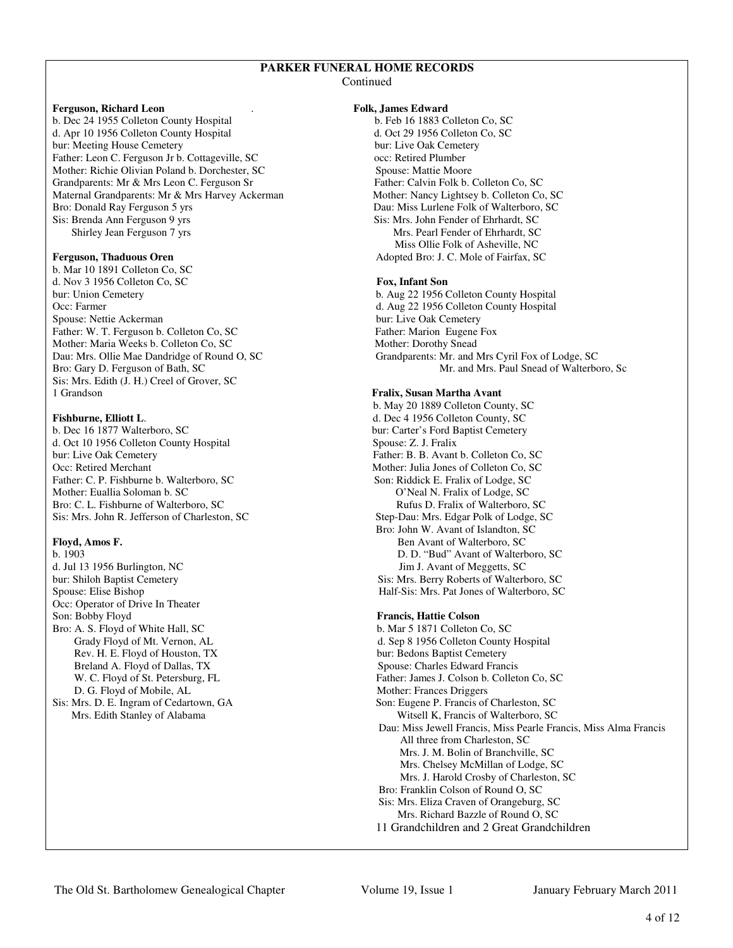### **PARKER FUNERAL HOME RECORDS**

**Continued** 

### **Ferguson, Richard Leon** . **Folk, James Edward**

b. Dec 24 1955 Colleton County Hospital b. Feb 16 1883 Colleton Co, SC d. Apr 10 1956 Colleton County Hospital d. Oct 29 1956 Colleton Co, SC bur: Meeting House Cemetery **bur: Live Oak Cemetery bur:** Live Oak Cemetery Father: Leon C. Ferguson Jr b. Cottageville, SC occ: Retired Plumber Mother: Richie Olivian Poland b. Dorchester, SC Spouse: Mattie Moore Grandparents: Mr & Mrs Leon C. Ferguson Sr Father: Calvin Folk b. Colleton Co, SC Maternal Grandparents: Mr & Mrs Harvey Ackerman Mother: Nancy Lightsey b. Colleton Co, SC Bro: Donald Ray Ferguson 5 yrs Dau: Miss Lurlene Folk of Walterboro, SC Sis: Brenda Ann Ferguson 9 yrs Sis: Mrs. John Fender of Ehrhardt, SC Shirley Jean Ferguson 7 yrs Mrs. Pearl Fender of Ehrhardt, SC

b. Mar 10 1891 Colleton Co, SC d. Nov 3 1956 Colleton Co, SC **Fox, Infant Son** bur: Union Cemetery b. Aug 22 1956 Colleton County Hospital Occ: Farmer d. Aug 22 1956 Colleton County Hospital Spouse: Nettie Ackerman bur: Live Oak Cemetery Father: W. T. Ferguson b. Colleton Co, SC Father: Marion Eugene Fox Mother: Maria Weeks b. Colleton Co, SC Mother: Dorothy Snead Sis: Mrs. Edith (J. H.) Creel of Grover, SC

b. Dec 16 1877 Walterboro, SC bur: Carter's Ford Baptist Cemetery<br>d. Oct 10 1956 Colleton County Hospital Spouse: Z. J. Fralix d. Oct 10 1956 Colleton County Hospital bur: Live Oak Cemetery Father: B. B. Avant b. Colleton Co, SC Occ: Retired Merchant Mother: Julia Jones of Colleton Co, SC Father: C. P. Fishburne b. Walterboro, SC Son: Riddick E. Fralix of Lodge, SC Mother: Euallia Soloman b. SC O'Neal N. Fralix of Lodge, SC Bro: C. L. Fishburne of Walterboro, SC Rufus D. Fralix of Walterboro, SC Sis: Mrs. John R. Jefferson of Charleston, SC Step-Dau: Mrs. Edgar Polk of Lodge, SC

d. Jul 13 1956 Burlington, NC Jim J. Avant of Meggetts, SC Occ: Operator of Drive In Theater Son: Bobby Floyd **Francis, Hattie Colson**  Bro: A. S. Floyd of White Hall, SC b. Mar 5 1871 Colleton Co, SC Rev. H. E. Floyd of Houston, TX bur: Bedons Baptist Cemetery Breland A. Floyd of Dallas, TX Spouse: Charles Edward Francis D. G. Floyd of Mobile, AL Mother: Frances Driggers<br>
Sis: Mrs. D. E. Ingram of Cedartown, GA Son: Eugene P. Francis of

Miss Ollie Folk of Asheville, NC<br>**Ferguson, Thaduous Oren** Material School of Asheville, NC<br>Adopted Bro: J. C. Mole of Fairfax, S Adopted Bro: J. C. Mole of Fairfax, SC

Dau: Mrs. Ollie Mae Dandridge of Round O, SC Grandparents: Mr. and Mrs Cyril Fox of Lodge, SC Bro: Gary D. Ferguson of Bath, SC Mr. and Mrs. Paul Snead of Walterboro, Sc

### 1 Grandson **Fralix, Susan Martha Avant**

 b. May 20 1889 Colleton County, SC **Fishburne, Elliott L.** d. Dec 4 1956 Colleton County, SC Bro: John W. Avant of Islandton, SC **Floyd, Amos F.** Ben Avant of Walterboro, SC b. 1903<br>
D. D. "Bud" Avant of Walterboro, SC b. 1903 D. D. "Bud" Avant of Walterboro, SC bur: Shiloh Baptist Cemetery Sis: Mrs. Berry Roberts of Walterboro, SC Spouse: Elise Bishop Half-Sis: Mrs. Pat Jones of Walterboro, SC

Grady Floyd of Mt. Vernon, AL d. Sep 8 1956 Colleton County Hospital W. C. Floyd of St. Petersburg, FL Father: James J. Colson b. Colleton Co, SC Son: Eugene P. Francis of Charleston, SC Mrs. Edith Stanley of Alabama Witsell K, Francis of Walterboro, SC Dau: Miss Jewell Francis, Miss Pearle Francis, Miss Alma Francis All three from Charleston, SC Mrs. J. M. Bolin of Branchville, SC Mrs. Chelsey McMillan of Lodge, SC Mrs. J. Harold Crosby of Charleston, SC Bro: Franklin Colson of Round O, SC Sis: Mrs. Eliza Craven of Orangeburg, SC Mrs. Richard Bazzle of Round O, SC 11 Grandchildren and 2 Great Grandchildren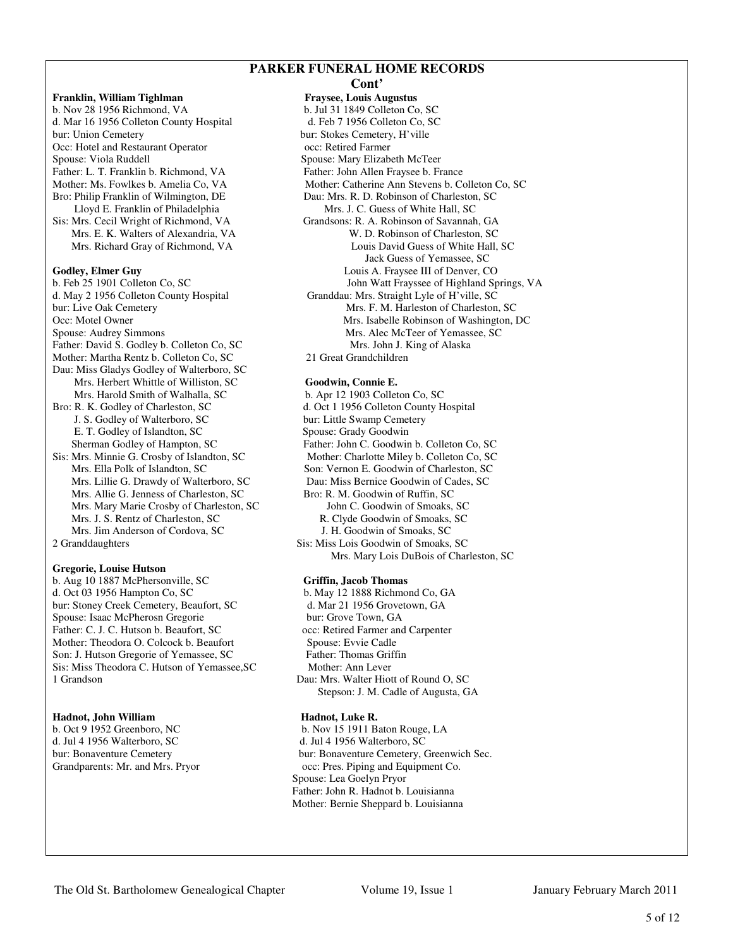# **PARKER FUNERAL HOME RECORDS**

**Franklin, William Tighlman** Fraysee, Louis Augustus b. Nov 28 1956 Richmond, VA b. Jul 31 1849 Colleton Co, SC d. Mar 16 1956 Colleton County Hospital d. Feb 7 1956 Colleton Co, SC d. Mar 16 1956 Colleton County Hospital bur: Union Cemetery bur: Stokes Cemetery, H'ville Occ: Hotel and Restaurant Operator occ: Retired Farmer Spouse: Viola Ruddell Spouse: Mary Elizabeth McTeer<br>Father: L. T. Franklin b. Richmond, VA Father: John Allen Fraysee b. Fr Bro: Philip Franklin of Wilmington, DE Dau: Mrs. R. D. Robinson of Charleston, SC Lloyd E. Franklin of Philadelphia Mrs. J. C. Guess of White Hall, SC Sis: Mrs. Cecil Wright of Richmond, VA Grandsons: R. A. Robinson of Savannah, GA **Godley, Elmer Guy** Louis A. Fraysee III of Denver, CO Father: David S. Godley b. Colleton Co, SC Mrs. John J. King of Alaska Mother: Martha Rentz b. Colleton Co, SC 21 Great Grandchildren Dau: Miss Gladys Godley of Walterboro, SC Mrs. Herbert Whittle of Williston, SC **Goodwin, Connie E.** Mrs. Harold Smith of Walhalla, SC b. Apr 12 1903 Colleton Co, SC Bro: R. K. Godley of Charleston, SC d. Oct 1 1956 Colleton County Hospital J. S. Godley of Walterboro, SC bur: Little Swamp Cemetery E. T. Godley of Islandton, SC Spouse: Grady Goodwin Mrs. Lillie G. Drawdy of Walterboro, SC Mrs. Allie G. Jenness of Charleston, SC Bro: R. M. Goodwin of Ruffin, SC Mrs. Mary Marie Crosby of Charleston, SC John C. Goodwin of Smoaks, SC Mrs. J. S. Rentz of Charleston, SC R. Clyde Goodwin of Smoaks, SC Mrs. Jim Anderson of Cordova, SC J. H. Goodwin of Smoaks, SC 2 Granddaughters Sis: Miss Lois Goodwin of Smoaks, SC

# **Gregorie, Louise Hutson**

b. Aug 10 1887 McPhersonville, SC **Griffin, Jacob Thomas** d. Oct 03 1956 Hampton Co, SC b. May 12 1888 Richmond Co, GA bur: Stoney Creek Cemetery, Beaufort, SC d. Mar 21 1956 Grovetown, GA bur: Stoney Creek Cemetery, Beaufort, SC d. Mar 21 1956 Grove<br>Spouse: Isaac McPherosn Gregorie bur: Grove Town, GA Spouse: Isaac McPherosn Gregorie Father: C. J. C. Hutson b. Beaufort, SC occ: Retired Farmer and Carpenter Mother: Theodora O. Colcock b. Beaufort Spouse: Evvie Cadle Son: J. Hutson Gregorie of Yemassee, SC Father: Thomas Griffin Sis: Miss Theodora C. Hutson of Yemassee, SC Mother: Ann Lever 1 Grandson Dau: Mrs. Walter Hiott of Round O, SC

# Hadnot, John William **Hadnot**, Luke R.

d. Jul 4 1956 Walterboro, SC d. Jul 4 1956 Walterboro, SC

# **Cont'**  Father: John Allen Fraysee b. France Mother: Ms. Fowlkes b. Amelia Co, VA Mother: Catherine Ann Stevens b. Colleton Co, SC Mrs. E. K. Walters of Alexandria, VA W. D. Robinson of Charleston, SC Mrs. Richard Gray of Richmond, VA Louis David Guess of White Hall, SC Jack Guess of Yemassee, SC b. Feb 25 1901 Colleton Co, SC John Watt Frayssee of Highland Springs, VA d. May 2 1956 Colleton County Hospital Granddau: Mrs. Straight Lyle of H'ville, SC Granddau: Mrs. Straight Lyle of H'ville, SC bur: Live Oak Cemetery Mrs. F. M. Harleston of Charleston, SC<br>Occ: Motel Owner Mrs. Isabelle Robinson of Washington, 1 Mrs. Isabelle Robinson of Washington, DC Spouse: Audrey SimmonsMrs. Alec McTeer of Yemassee, SC

Sherman Godley of Hampton, SC Father: John C. Goodwin b. Colleton Co, SC Sis: Mrs. Minnie G. Crosby of Islandton, SC Mother: Charlotte Miley b. Colleton Co, SC Mrs. Ella Polk of Islandton, SC Son: Vernon E. Goodwin of Charleston, SC Son: Vernon E. Goodwin of Charleston, SC<br>Dau: Miss Bernice Goodwin of Cades, SC Mrs. Mary Lois DuBois of Charleston, SC

Stepson: J. M. Cadle of Augusta, GA

b. Oct 9 1952 Greenboro, NC b. Nov 15 1911 Baton Rouge, LA bur: Bonaventure Cemetery bur: Bonaventure Cemetery, Greenwich Sec. Grandparents: Mr. and Mrs. Pryor occ: Pres. Piping and Equipment Co. Spouse: Lea Goelyn Pryor Father: John R. Hadnot b. Louisianna Mother: Bernie Sheppard b. Louisianna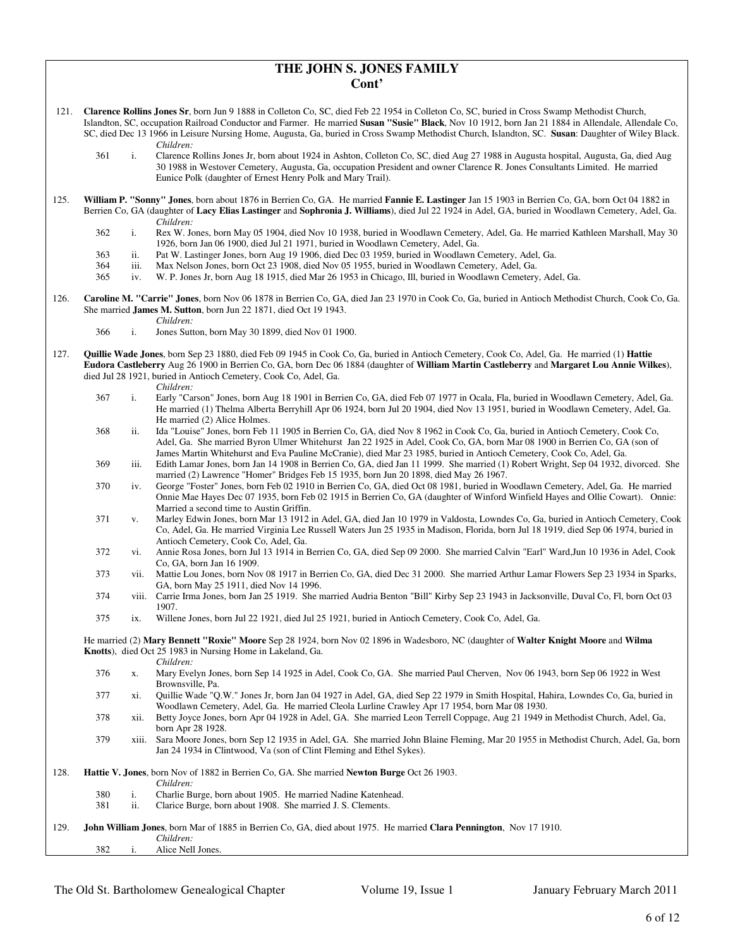### **THE JOHN S. JONES FAMILY Cont'**

- 121. **Clarence Rollins Jones Sr**, born Jun 9 1888 in Colleton Co, SC, died Feb 22 1954 in Colleton Co, SC, buried in Cross Swamp Methodist Church, Islandton, SC, occupation Railroad Conductor and Farmer. He married **Susan "Susie" Black**, Nov 10 1912, born Jan 21 1884 in Allendale, Allendale Co, SC, died Dec 13 1966 in Leisure Nursing Home, Augusta, Ga, buried in Cross Swamp Methodist Church, Islandton, SC. **Susan**: Daughter of Wiley Black.
	- *Children:*<br>361 i. Clarence 361 i. Clarence Rollins Jones Jr, born about 1924 in Ashton, Colleton Co, SC, died Aug 27 1988 in Augusta hospital, Augusta, Ga, died Aug 30 1988 in Westover Cemetery, Augusta, Ga, occupation President and owner Clarence R. Jones Consultants Limited. He married Eunice Polk (daughter of Ernest Henry Polk and Mary Trail).
- 125. **William P. "Sonny" Jones**, born about 1876 in Berrien Co, GA. He married **Fannie E. Lastinger** Jan 15 1903 in Berrien Co, GA, born Oct 04 1882 in Berrien Co, GA (daughter of **Lacy Elias Lastinger** and **Sophronia J. Williams**), died Jul 22 1924 in Adel, GA, buried in Woodlawn Cemetery, Adel, Ga. *Children:*
	- 362 i. Rex W. Jones, born May 05 1904, died Nov 10 1938, buried in Woodlawn Cemetery, Adel, Ga. He married Kathleen Marshall, May 30 1926, born Jan 06 1900, died Jul 21 1971, buried in Woodlawn Cemetery, Adel, Ga.
	- 363 ii. Pat W. Lastinger Jones, born Aug 19 1906, died Dec 03 1959, buried in Woodlawn Cemetery, Adel, Ga.
	- 364 iii. Max Nelson Jones, born Oct 23 1908, died Nov 05 1955, buried in Woodlawn Cemetery, Adel, Ga.
	- 365 iv. W. P. Jones Jr, born Aug 18 1915, died Mar 26 1953 in Chicago, Ill, buried in Woodlawn Cemetery, Adel, Ga.
- 126. **Caroline M. "Carrie" Jones**, born Nov 06 1878 in Berrien Co, GA, died Jan 23 1970 in Cook Co, Ga, buried in Antioch Methodist Church, Cook Co, Ga. She married **James M. Sutton**, born Jun 22 1871, died Oct 19 1943.
	- *Children:*
	- 366 i. Jones Sutton, born May 30 1899, died Nov 01 1900.
- 127. **Quillie Wade Jones**, born Sep 23 1880, died Feb 09 1945 in Cook Co, Ga, buried in Antioch Cemetery, Cook Co, Adel, Ga. He married (1) **Hattie Eudora Castleberry** Aug 26 1900 in Berrien Co, GA, born Dec 06 1884 (daughter of **William Martin Castleberry** and **Margaret Lou Annie Wilkes**), died Jul 28 1921, buried in Antioch Cemetery, Cook Co, Adel, Ga.
	- *Children:*
	- 367 i. Early "Carson" Jones, born Aug 18 1901 in Berrien Co, GA, died Feb 07 1977 in Ocala, Fla, buried in Woodlawn Cemetery, Adel, Ga. He married (1) Thelma Alberta Berryhill Apr 06 1924, born Jul 20 1904, died Nov 13 1951, buried in Woodlawn Cemetery, Adel, Ga. He married (2) Alice Holmes.
	- 368 ii. Ida "Louise" Jones, born Feb 11 1905 in Berrien Co, GA, died Nov 8 1962 in Cook Co, Ga, buried in Antioch Cemetery, Cook Co, Adel, Ga. She married Byron Ulmer Whitehurst Jan 22 1925 in Adel, Cook Co, GA, born Mar 08 1900 in Berrien Co, GA (son of James Martin Whitehurst and Eva Pauline McCranie), died Mar 23 1985, buried in Antioch Cemetery, Cook Co, Adel, Ga.
	- 369 iii. Edith Lamar Jones, born Jan 14 1908 in Berrien Co, GA, died Jan 11 1999. She married (1) Robert Wright, Sep 04 1932, divorced. She married (2) Lawrence "Homer" Bridges Feb 15 1935, born Jun 20 1898, died May 26 1967.
	- 370 iv. George "Foster" Jones, born Feb 02 1910 in Berrien Co, GA, died Oct 08 1981, buried in Woodlawn Cemetery, Adel, Ga. He married Onnie Mae Hayes Dec 07 1935, born Feb 02 1915 in Berrien Co, GA (daughter of Winford Winfield Hayes and Ollie Cowart). Onnie: Married a second time to Austin Griffin.
	- 371 v. Marley Edwin Jones, born Mar 13 1912 in Adel, GA, died Jan 10 1979 in Valdosta, Lowndes Co, Ga, buried in Antioch Cemetery, Cook Co, Adel, Ga. He married Virginia Lee Russell Waters Jun 25 1935 in Madison, Florida, born Jul 18 1919, died Sep 06 1974, buried in Antioch Cemetery, Cook Co, Adel, Ga.
	- 372 vi. Annie Rosa Jones, born Jul 13 1914 in Berrien Co, GA, died Sep 09 2000. She married Calvin "Earl" Ward,Jun 10 1936 in Adel, Cook Co, GA, born Jan 16 1909.
	- 373 vii. Mattie Lou Jones, born Nov 08 1917 in Berrien Co, GA, died Dec 31 2000. She married Arthur Lamar Flowers Sep 23 1934 in Sparks, GA, born May 25 1911, died Nov 14 1996.
	- 374 viii. Carrie Irma Jones, born Jan 25 1919. She married Audria Benton "Bill" Kirby Sep 23 1943 in Jacksonville, Duval Co, Fl, born Oct 03 1907.
	- 375 ix. Willene Jones, born Jul 22 1921, died Jul 25 1921, buried in Antioch Cemetery, Cook Co, Adel, Ga.

 He married (2) **Mary Bennett "Roxie" Moore** Sep 28 1924, born Nov 02 1896 in Wadesboro, NC (daughter of **Walter Knight Moore** and **Wilma Knotts**), died Oct 25 1983 in Nursing Home in Lakeland, Ga.

*Children:*

- 376 x. Mary Evelyn Jones, born Sep 14 1925 in Adel, Cook Co, GA. She married Paul Cherven, Nov 06 1943, born Sep 06 1922 in West Brownsville, Pa.
- 377 xi. Quillie Wade "Q.W." Jones Jr, born Jan 04 1927 in Adel, GA, died Sep 22 1979 in Smith Hospital, Hahira, Lowndes Co, Ga, buried in Woodlawn Cemetery, Adel, Ga. He married Cleola Lurline Crawley Apr 17 1954, born Mar 08 1930.
- 378 xii. Betty Joyce Jones, born Apr 04 1928 in Adel, GA. She married Leon Terrell Coppage, Aug 21 1949 in Methodist Church, Adel, Ga, born Apr 28 1928.
- 379 xiii. Sara Moore Jones, born Sep 12 1935 in Adel, GA. She married John Blaine Fleming, Mar 20 1955 in Methodist Church, Adel, Ga, born Jan 24 1934 in Clintwood, Va (son of Clint Fleming and Ethel Sykes).
- 128. **Hattie V. Jones**, born Nov of 1882 in Berrien Co, GA. She married **Newton Burge** Oct 26 1903. *Children:*<br>380 **i** Charlie B i. Charlie Burge, born about 1905. He married Nadine Katenhead. 381 ii. Clarice Burge, born about 1908. She married J. S. Clements. 129. **John William Jones**, born Mar of 1885 in Berrien Co, GA, died about 1975. He married **Clara Pennington**, Nov 17 1910. *Children:*<br>382 **i** Alice Nel Alice Nell Jones.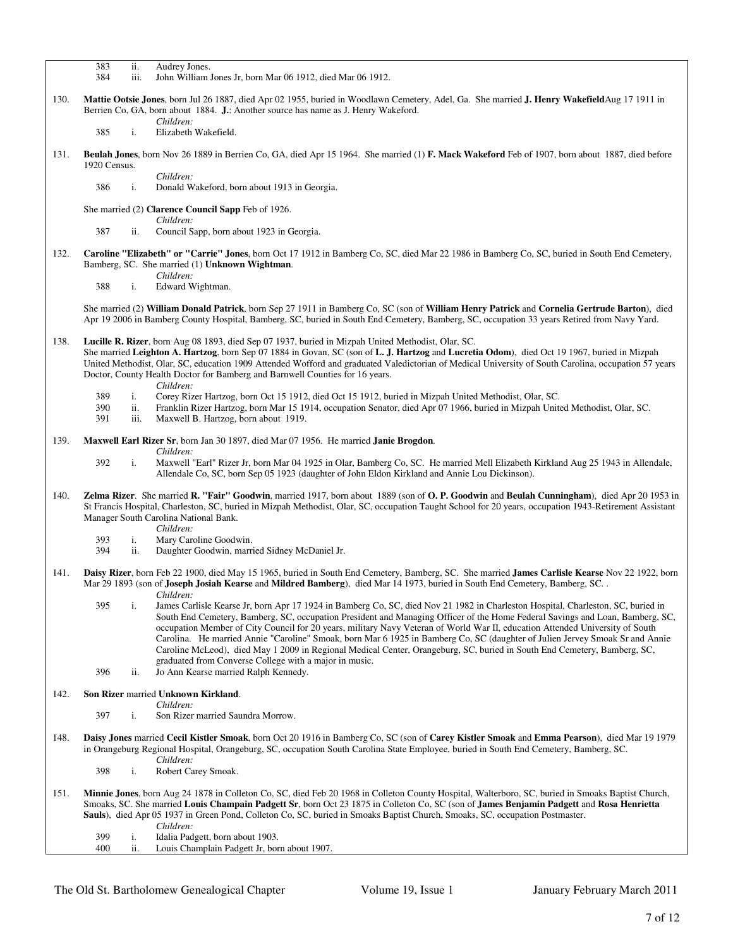|      | 383<br>Audrey Jones.<br>ii.<br>iii.<br>384<br>John William Jones Jr, born Mar 06 1912, died Mar 06 1912.                                                                                                                                                                                                                                                                                                                                                                                                                                                                                                                                                                                                                                                                                    |
|------|---------------------------------------------------------------------------------------------------------------------------------------------------------------------------------------------------------------------------------------------------------------------------------------------------------------------------------------------------------------------------------------------------------------------------------------------------------------------------------------------------------------------------------------------------------------------------------------------------------------------------------------------------------------------------------------------------------------------------------------------------------------------------------------------|
|      |                                                                                                                                                                                                                                                                                                                                                                                                                                                                                                                                                                                                                                                                                                                                                                                             |
| 130. | Mattie Ootsie Jones, born Jul 26 1887, died Apr 02 1955, buried in Woodlawn Cemetery, Adel, Ga. She married J. Henry Wakefield Aug 17 1911 in<br>Berrien Co, GA, born about 1884. J.: Another source has name as J. Henry Wakeford.                                                                                                                                                                                                                                                                                                                                                                                                                                                                                                                                                         |
|      | Children:<br>i.<br>385<br>Elizabeth Wakefield.                                                                                                                                                                                                                                                                                                                                                                                                                                                                                                                                                                                                                                                                                                                                              |
|      |                                                                                                                                                                                                                                                                                                                                                                                                                                                                                                                                                                                                                                                                                                                                                                                             |
| 131. | Beulah Jones, born Nov 26 1889 in Berrien Co, GA, died Apr 15 1964. She married (1) F. Mack Wakeford Feb of 1907, born about 1887, died before<br>1920 Census.                                                                                                                                                                                                                                                                                                                                                                                                                                                                                                                                                                                                                              |
|      | Children:<br>386<br>i.<br>Donald Wakeford, born about 1913 in Georgia.                                                                                                                                                                                                                                                                                                                                                                                                                                                                                                                                                                                                                                                                                                                      |
|      | She married (2) Clarence Council Sapp Feb of 1926.                                                                                                                                                                                                                                                                                                                                                                                                                                                                                                                                                                                                                                                                                                                                          |
|      | Children:<br>387<br>Council Sapp, born about 1923 in Georgia.<br>ii.                                                                                                                                                                                                                                                                                                                                                                                                                                                                                                                                                                                                                                                                                                                        |
| 132. | Caroline "Elizabeth" or "Carrie" Jones, born Oct 17 1912 in Bamberg Co, SC, died Mar 22 1986 in Bamberg Co, SC, buried in South End Cemetery,<br>Bamberg, SC. She married (1) Unknown Wightman.                                                                                                                                                                                                                                                                                                                                                                                                                                                                                                                                                                                             |
|      | Children:<br>388<br>i.<br>Edward Wightman.                                                                                                                                                                                                                                                                                                                                                                                                                                                                                                                                                                                                                                                                                                                                                  |
|      |                                                                                                                                                                                                                                                                                                                                                                                                                                                                                                                                                                                                                                                                                                                                                                                             |
|      | She married (2) William Donald Patrick, born Sep 27 1911 in Bamberg Co, SC (son of William Henry Patrick and Cornelia Gertrude Barton), died<br>Apr 19 2006 in Bamberg County Hospital, Bamberg, SC, buried in South End Cemetery, Bamberg, SC, occupation 33 years Retired from Navy Yard.                                                                                                                                                                                                                                                                                                                                                                                                                                                                                                 |
| 138. | Lucille R. Rizer, born Aug 08 1893, died Sep 07 1937, buried in Mizpah United Methodist, Olar, SC.                                                                                                                                                                                                                                                                                                                                                                                                                                                                                                                                                                                                                                                                                          |
|      | She married Leighton A. Hartzog, born Sep 07 1884 in Govan, SC (son of L. J. Hartzog and Lucretia Odom), died Oct 19 1967, buried in Mizpah<br>United Methodist, Olar, SC, education 1909 Attended Wofford and graduated Valedictorian of Medical University of South Carolina, occupation 57 years                                                                                                                                                                                                                                                                                                                                                                                                                                                                                         |
|      | Doctor, County Health Doctor for Bamberg and Barnwell Counties for 16 years.                                                                                                                                                                                                                                                                                                                                                                                                                                                                                                                                                                                                                                                                                                                |
|      | Children:<br>389<br>i.<br>Corey Rizer Hartzog, born Oct 15 1912, died Oct 15 1912, buried in Mizpah United Methodist, Olar, SC.                                                                                                                                                                                                                                                                                                                                                                                                                                                                                                                                                                                                                                                             |
|      | Franklin Rizer Hartzog, born Mar 15 1914, occupation Senator, died Apr 07 1966, buried in Mizpah United Methodist, Olar, SC.<br>390<br>ii.                                                                                                                                                                                                                                                                                                                                                                                                                                                                                                                                                                                                                                                  |
|      | 391<br>iii.<br>Maxwell B. Hartzog, born about 1919.                                                                                                                                                                                                                                                                                                                                                                                                                                                                                                                                                                                                                                                                                                                                         |
| 139. | <b>Maxwell Earl Rizer Sr</b> , born Jan 30 1897, died Mar 07 1956. He married <b>Janie Brogdon</b> .<br>Children:                                                                                                                                                                                                                                                                                                                                                                                                                                                                                                                                                                                                                                                                           |
|      | 392<br>i.<br>Maxwell "Earl" Rizer Jr, born Mar 04 1925 in Olar, Bamberg Co, SC. He married Mell Elizabeth Kirkland Aug 25 1943 in Allendale,<br>Allendale Co, SC, born Sep 05 1923 (daughter of John Eldon Kirkland and Annie Lou Dickinson).                                                                                                                                                                                                                                                                                                                                                                                                                                                                                                                                               |
| 140. | Zelma Rizer. She married R. "Fair" Goodwin, married 1917, born about 1889 (son of O. P. Goodwin and Beulah Cunningham), died Apr 20 1953 in<br>St Francis Hospital, Charleston, SC, buried in Mizpah Methodist, Olar, SC, occupation Taught School for 20 years, occupation 1943-Retirement Assistant<br>Manager South Carolina National Bank.                                                                                                                                                                                                                                                                                                                                                                                                                                              |
|      | Children:<br>i.<br>393<br>Mary Caroline Goodwin.                                                                                                                                                                                                                                                                                                                                                                                                                                                                                                                                                                                                                                                                                                                                            |
|      | 394<br>ii.<br>Daughter Goodwin, married Sidney McDaniel Jr.                                                                                                                                                                                                                                                                                                                                                                                                                                                                                                                                                                                                                                                                                                                                 |
| 141. | Daisy Rizer, born Feb 22 1900, died May 15 1965, buried in South End Cemetery, Bamberg, SC. She married James Carlisle Kearse Nov 22 1922, born<br>Mar 29 1893 (son of <b>Joseph Josiah Kearse</b> and <b>Mildred Bamberg</b> ), died Mar 14 1973, buried in South End Cemetery, Bamberg, SC<br>Children:                                                                                                                                                                                                                                                                                                                                                                                                                                                                                   |
|      | James Carlisle Kearse Jr, born Apr 17 1924 in Bamberg Co, SC, died Nov 21 1982 in Charleston Hospital, Charleston, SC, buried in<br>395<br>i.<br>South End Cemetery, Bamberg, SC, occupation President and Managing Officer of the Home Federal Savings and Loan, Bamberg, SC,<br>occupation Member of City Council for 20 years, military Navy Veteran of World War II, education Attended University of South<br>Carolina. He married Annie "Caroline" Smoak, born Mar 6 1925 in Bamberg Co, SC (daughter of Julien Jervey Smoak Sr and Annie<br>Caroline McLeod), died May 1 2009 in Regional Medical Center, Orangeburg, SC, buried in South End Cemetery, Bamberg, SC,<br>graduated from Converse College with a major in music.<br>396<br>ii.<br>Jo Ann Kearse married Ralph Kennedy. |
| 142. | Son Rizer married Unknown Kirkland.                                                                                                                                                                                                                                                                                                                                                                                                                                                                                                                                                                                                                                                                                                                                                         |
|      | Children:                                                                                                                                                                                                                                                                                                                                                                                                                                                                                                                                                                                                                                                                                                                                                                                   |
|      | 397<br>i.<br>Son Rizer married Saundra Morrow.                                                                                                                                                                                                                                                                                                                                                                                                                                                                                                                                                                                                                                                                                                                                              |
| 148. | Daisy Jones married Cecil Kistler Smoak, born Oct 20 1916 in Bamberg Co, SC (son of Carey Kistler Smoak and Emma Pearson), died Mar 19 1979<br>in Orangeburg Regional Hospital, Orangeburg, SC, occupation South Carolina State Employee, buried in South End Cemetery, Bamberg, SC.<br>Children:                                                                                                                                                                                                                                                                                                                                                                                                                                                                                           |
|      | 398<br>i.<br>Robert Carey Smoak.                                                                                                                                                                                                                                                                                                                                                                                                                                                                                                                                                                                                                                                                                                                                                            |
| 151. | Minnie Jones, born Aug 24 1878 in Colleton Co, SC, died Feb 20 1968 in Colleton County Hospital, Walterboro, SC, buried in Smoaks Baptist Church,<br>Smoaks, SC. She married Louis Champain Padgett Sr, born Oct 23 1875 in Colleton Co, SC (son of James Benjamin Padgett and Rosa Henrietta<br>Sauls), died Apr 05 1937 in Green Pond, Colleton Co, SC, buried in Smoaks Baptist Church, Smoaks, SC, occupation Postmaster.<br>Children:                                                                                                                                                                                                                                                                                                                                                  |
|      | 399<br>i.<br>Idalia Padgett, born about 1903.                                                                                                                                                                                                                                                                                                                                                                                                                                                                                                                                                                                                                                                                                                                                               |
|      | 400<br>ii.<br>Louis Champlain Padgett Jr, born about 1907.                                                                                                                                                                                                                                                                                                                                                                                                                                                                                                                                                                                                                                                                                                                                  |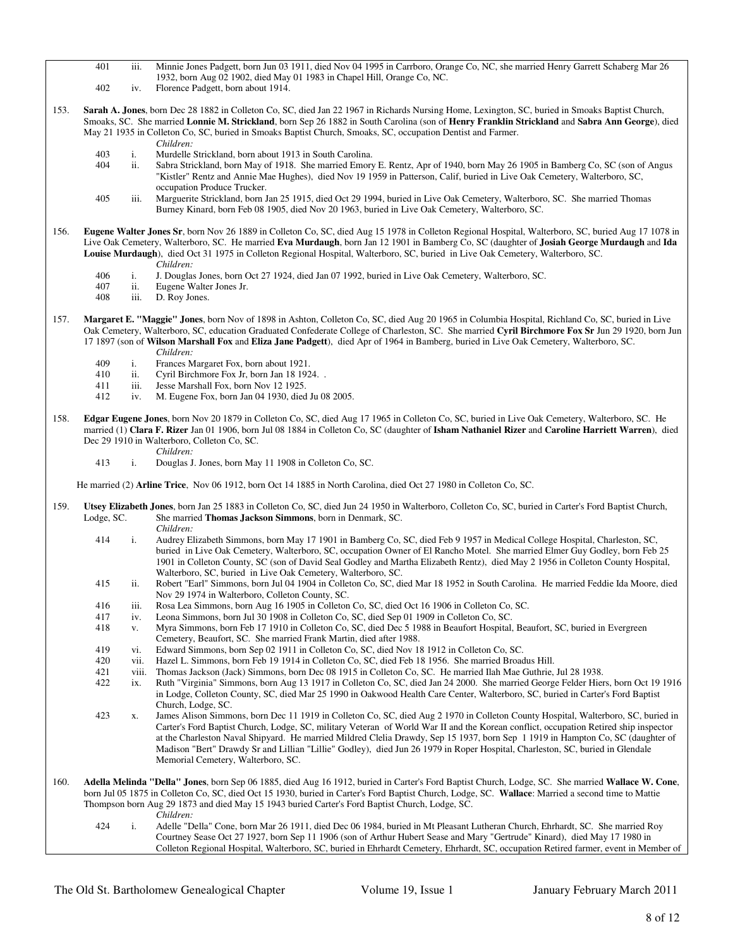- 401 iii. Minnie Jones Padgett, born Jun 03 1911, died Nov 04 1995 in Carrboro, Orange Co, NC, she married Henry Garrett Schaberg Mar 26 1932, born Aug 02 1902, died May 01 1983 in Chapel Hill, Orange Co, NC.
- 402 iv. Florence Padgett, born about 1914.
- 153. **Sarah A. Jones**, born Dec 28 1882 in Colleton Co, SC, died Jan 22 1967 in Richards Nursing Home, Lexington, SC, buried in Smoaks Baptist Church, Smoaks, SC. She married **Lonnie M. Strickland**, born Sep 26 1882 in South Carolina (son of **Henry Franklin Strickland** and **Sabra Ann George**), died May 21 1935 in Colleton Co, SC, buried in Smoaks Baptist Church, Smoaks, SC, occupation Dentist and Farmer. *Children:*
	-
	- 403 i. Murdelle Strickland, born about 1913 in South Carolina.<br>404 ii. Sabra Strickland, born May of 1918. She married Emory ii. Sabra Strickland, born May of 1918. She married Emory E. Rentz, Apr of 1940, born May 26 1905 in Bamberg Co, SC (son of Angus "Kistler" Rentz and Annie Mae Hughes), died Nov 19 1959 in Patterson, Calif, buried in Live Oak Cemetery, Walterboro, SC, occupation Produce Trucker.
	- 405 iii. Marguerite Strickland, born Jan 25 1915, died Oct 29 1994, buried in Live Oak Cemetery, Walterboro, SC. She married Thomas Burney Kinard, born Feb 08 1905, died Nov 20 1963, buried in Live Oak Cemetery, Walterboro, SC.
- 156. **Eugene Walter Jones Sr**, born Nov 26 1889 in Colleton Co, SC, died Aug 15 1978 in Colleton Regional Hospital, Walterboro, SC, buried Aug 17 1078 in Live Oak Cemetery, Walterboro, SC. He married **Eva Murdaugh**, born Jan 12 1901 in Bamberg Co, SC (daughter of **Josiah George Murdaugh** and **Ida Louise Murdaugh**), died Oct 31 1975 in Colleton Regional Hospital, Walterboro, SC, buried in Live Oak Cemetery, Walterboro, SC. *Children:*
	- 406 i. J. Douglas Jones, born Oct 27 1924, died Jan 07 1992, buried in Live Oak Cemetery, Walterboro, SC.
	- 407 ii. Eugene Walter Jones Jr.<br>408 iii. D. Roy Jones.
	- D. Roy Jones.
- 157. **Margaret E. "Maggie" Jones**, born Nov of 1898 in Ashton, Colleton Co, SC, died Aug 20 1965 in Columbia Hospital, Richland Co, SC, buried in Live Oak Cemetery, Walterboro, SC, education Graduated Confederate College of Charleston, SC. She married **Cyril Birchmore Fox Sr** Jun 29 1920, born Jun 17 1897 (son of **Wilson Marshall Fox** and **Eliza Jane Padgett**), died Apr of 1964 in Bamberg, buried in Live Oak Cemetery, Walterboro, SC. *Children:*
	-
	- 409 i. Frances Margaret Fox, born about 1921.<br>410 ii Cyril Birchmore Fox Jr, born Jan 18 192.
	- 410 ii. Cyril Birchmore Fox Jr, born Jan 18 1924. .<br>411 iii. Jesse Marshall Fox. born Nov 12 1925. iii. Jesse Marshall Fox, born Nov 12 1925.
	- 412 iv. M. Eugene Fox, born Jan 04 1930, died Ju 08 2005.
	-
- 158. **Edgar Eugene Jones**, born Nov 20 1879 in Colleton Co, SC, died Aug 17 1965 in Colleton Co, SC, buried in Live Oak Cemetery, Walterboro, SC. He married (1) **Clara F. Rizer** Jan 01 1906, born Jul 08 1884 in Colleton Co, SC (daughter of **Isham Nathaniel Rizer** and **Caroline Harriett Warren**), died Dec 29 1910 in Walterboro, Colleton Co, SC.
	- *Children:*<br>413 i Douglas J
	- i. Douglas J. Jones, born May 11 1908 in Colleton Co, SC.

He married (2) **Arline Trice**, Nov 06 1912, born Oct 14 1885 in North Carolina, died Oct 27 1980 in Colleton Co, SC.

- 159. **Utsey Elizabeth Jones**, born Jan 25 1883 in Colleton Co, SC, died Jun 24 1950 in Walterboro, Colleton Co, SC, buried in Carter's Ford Baptist Church, Lodge, SC. She married **Thomas Jackson Simmons**, born in Denmark, SC.
	- *Children:*<br>414 i. Audrey E 414 i. Audrey Elizabeth Simmons, born May 17 1901 in Bamberg Co, SC, died Feb 9 1957 in Medical College Hospital, Charleston, SC, buried in Live Oak Cemetery, Walterboro, SC, occupation Owner of El Rancho Motel. She married Elmer Guy Godley, born Feb 25 1901 in Colleton County, SC (son of David Seal Godley and Martha Elizabeth Rentz), died May 2 1956 in Colleton County Hospital, Walterboro, SC, buried in Live Oak Cemetery, Walterboro, SC.
	- 415 ii. Robert "Earl" Simmons, born Jul 04 1904 in Colleton Co, SC, died Mar 18 1952 in South Carolina. He married Feddie Ida Moore, died Nov 29 1974 in Walterboro, Colleton County, SC.
	- 416 iii. Rosa Lea Simmons, born Aug 16 1905 in Colleton Co, SC, died Oct 16 1906 in Colleton Co, SC.
	- 417 iv. Leona Simmons, born Jul 30 1908 in Colleton Co, SC, died Sep 01 1909 in Colleton Co, SC.
	- 418 v. Myra Simmons, born Feb 17 1910 in Colleton Co, SC, died Dec 5 1988 in Beaufort Hospital, Beaufort, SC, buried in Evergreen Cemetery, Beaufort, SC. She married Frank Martin, died after 1988.
	- 419 vi. Edward Simmons, born Sep 02 1911 in Colleton Co, SC, died Nov 18 1912 in Colleton Co, SC.
	- 420 vii. Hazel L. Simmons, born Feb 19 1914 in Colleton Co, SC, died Feb 18 1956. She married Broadus Hill.
	- 421 viii. Thomas Jackson (Jack) Simmons, born Dec 08 1915 in Colleton Co, SC. He married Ilah Mae Guthrie, Jul 28 1938.<br>422 ix. Ruth "Virginia" Simmons, born Aug 13 1917 in Colleton Co, SC, died Jan 24 2000. She married Ge
	- ix. Ruth "Virginia" Simmons, born Aug 13 1917 in Colleton Co, SC, died Jan 24 2000. She married George Felder Hiers, born Oct 19 1916 in Lodge, Colleton County, SC, died Mar 25 1990 in Oakwood Health Care Center, Walterboro, SC, buried in Carter's Ford Baptist Church, Lodge, SC.
	- 423 x. James Alison Simmons, born Dec 11 1919 in Colleton Co, SC, died Aug 2 1970 in Colleton County Hospital, Walterboro, SC, buried in Carter's Ford Baptist Church, Lodge, SC, military Veteran of World War II and the Korean conflict, occupation Retired ship inspector at the Charleston Naval Shipyard. He married Mildred Clelia Drawdy, Sep 15 1937, born Sep 1 1919 in Hampton Co, SC (daughter of Madison "Bert" Drawdy Sr and Lillian "Lillie" Godley), died Jun 26 1979 in Roper Hospital, Charleston, SC, buried in Glendale Memorial Cemetery, Walterboro, SC.
- 160. **Adella Melinda "Della" Jones**, born Sep 06 1885, died Aug 16 1912, buried in Carter's Ford Baptist Church, Lodge, SC. She married **Wallace W. Cone**, born Jul 05 1875 in Colleton Co, SC, died Oct 15 1930, buried in Carter's Ford Baptist Church, Lodge, SC. **Wallace**: Married a second time to Mattie Thompson born Aug 29 1873 and died May 15 1943 buried Carter's Ford Baptist Church, Lodge, SC. *Children:*
	- 424 i. Adelle "Della" Cone, born Mar 26 1911, died Dec 06 1984, buried in Mt Pleasant Lutheran Church, Ehrhardt, SC. She married Roy Courtney Sease Oct 27 1927, born Sep 11 1906 (son of Arthur Hubert Sease and Mary "Gertrude" Kinard), died May 17 1980 in Colleton Regional Hospital, Walterboro, SC, buried in Ehrhardt Cemetery, Ehrhardt, SC, occupation Retired farmer, event in Member of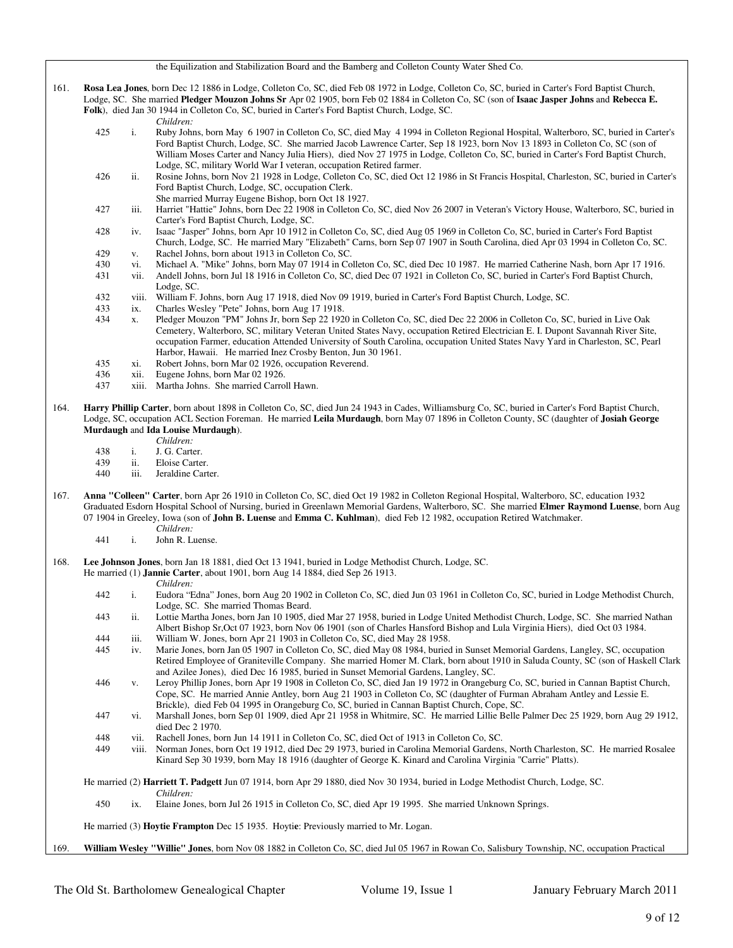### the Equilization and Stabilization Board and the Bamberg and Colleton County Water Shed Co.

161. **Rosa Lea Jones**, born Dec 12 1886 in Lodge, Colleton Co, SC, died Feb 08 1972 in Lodge, Colleton Co, SC, buried in Carter's Ford Baptist Church, Lodge, SC. She married **Pledger Mouzon Johns Sr** Apr 02 1905, born Feb 02 1884 in Colleton Co, SC (son of **Isaac Jasper Johns** and **Rebecca E. Folk**), died Jan 30 1944 in Colleton Co, SC, buried in Carter's Ford Baptist Church, Lodge, SC.

- *Children:*<br>425 i Ruby John i. Ruby Johns, born May 6 1907 in Colleton Co, SC, died May 4 1994 in Colleton Regional Hospital, Walterboro, SC, buried in Carter's Ford Baptist Church, Lodge, SC. She married Jacob Lawrence Carter, Sep 18 1923, born Nov 13 1893 in Colleton Co, SC (son of William Moses Carter and Nancy Julia Hiers), died Nov 27 1975 in Lodge, Colleton Co, SC, buried in Carter's Ford Baptist Church, Lodge, SC, military World War I veteran, occupation Retired farmer.
- 426 ii. Rosine Johns, born Nov 21 1928 in Lodge, Colleton Co, SC, died Oct 12 1986 in St Francis Hospital, Charleston, SC, buried in Carter's Ford Baptist Church, Lodge, SC, occupation Clerk.
- She married Murray Eugene Bishop, born Oct 18 1927.<br>427 iii Harriet "Hattie" Johns, born Dec 22 1908 in Colleton Co iii. Harriet "Hattie" Johns, born Dec 22 1908 in Colleton Co, SC, died Nov 26 2007 in Veteran's Victory House, Walterboro, SC, buried in Carter's Ford Baptist Church, Lodge, SC.
- 428 iv. Isaac "Jasper" Johns, born Apr 10 1912 in Colleton Co, SC, died Aug 05 1969 in Colleton Co, SC, buried in Carter's Ford Baptist Church, Lodge, SC. He married Mary "Elizabeth" Carns, born Sep 07 1907 in South Carolina, died Apr 03 1994 in Colleton Co, SC. 429 v. Rachel Johns, born about 1913 in Colleton Co, SC.
- 430 vi. Michael A. "Mike" Johns, born May 07 1914 in Colleton Co, SC, died Dec 10 1987. He married Catherine Nash, born Apr 17 1916.
- 431 vii. Andell Johns, born Jul 18 1916 in Colleton Co, SC, died Dec 07 1921 in Colleton Co, SC, buried in Carter's Ford Baptist Church, Lodge, SC.
- 432 viii. William F. Johns, born Aug 17 1918, died Nov 09 1919, buried in Carter's Ford Baptist Church, Lodge, SC.
- 433 ix. Charles Wesley "Pete" Johns, born Aug 17 1918.
- 434 x. Pledger Mouzon "PM" Johns Jr, born Sep 22 1920 in Colleton Co, SC, died Dec 22 2006 in Colleton Co, SC, buried in Live Oak Cemetery, Walterboro, SC, military Veteran United States Navy, occupation Retired Electrician E. I. Dupont Savannah River Site, occupation Farmer, education Attended University of South Carolina, occupation United States Navy Yard in Charleston, SC, Pearl Harbor, Hawaii. He married Inez Crosby Benton, Jun 30 1961.
- 435 xi. Robert Johns, born Mar 02 1926, occupation Reverend.
- 436 xii. Eugene Johns, born Mar 02 1926.<br>437 xiii. Martha Johns. She married Carro
- xiii. Martha Johns. She married Carroll Hawn.
- 164. **Harry Phillip Carter**, born about 1898 in Colleton Co, SC, died Jun 24 1943 in Cades, Williamsburg Co, SC, buried in Carter's Ford Baptist Church, Lodge, SC, occupation ACL Section Foreman. He married **Leila Murdaugh**, born May 07 1896 in Colleton County, SC (daughter of **Josiah George Murdaugh** and **Ida Louise Murdaugh**).
	- *Children:*
	- 438 i. J. G. Carter.<br>439 ii Eloise Carter
	- 439 ii. Eloise Carter.<br>440 iii. Jeraldine Cart
	- iii. Jeraldine Carter.
- 167. **Anna "Colleen" Carter**, born Apr 26 1910 in Colleton Co, SC, died Oct 19 1982 in Colleton Regional Hospital, Walterboro, SC, education 1932 Graduated Esdorn Hospital School of Nursing, buried in Greenlawn Memorial Gardens, Walterboro, SC. She married **Elmer Raymond Luense**, born Aug 07 1904 in Greeley, Iowa (son of **John B. Luense** and **Emma C. Kuhlman**), died Feb 12 1982, occupation Retired Watchmaker.
	- *Children:*<br>441 i. John R. L John R. Luense.
- 168. **Lee Johnson Jones**, born Jan 18 1881, died Oct 13 1941, buried in Lodge Methodist Church, Lodge, SC.
	- He married (1) **Jannie Carter**, about 1901, born Aug 14 1884, died Sep 26 1913.

- *Children:* i. Eudora "Edna" Jones, born Aug 20 1902 in Colleton Co, SC, died Jun 03 1961 in Colleton Co, SC, buried in Lodge Methodist Church, Lodge, SC. She married Thomas Beard.
- 443 ii. Lottie Martha Jones, born Jan 10 1905, died Mar 27 1958, buried in Lodge United Methodist Church, Lodge, SC. She married Nathan Albert Bishop Sr,Oct 07 1923, born Nov 06 1901 (son of Charles Hansford Bishop and Lula Virginia Hiers), died Oct 03 1984.
- 444 iii. William W. Jones, born Apr 21 1903 in Colleton Co, SC, died May 28 1958.
- 445 iv. Marie Jones, born Jan 05 1907 in Colleton Co, SC, died May 08 1984, buried in Sunset Memorial Gardens, Langley, SC, occupation Retired Employee of Graniteville Company. She married Homer M. Clark, born about 1910 in Saluda County, SC (son of Haskell Clark and Azilee Jones), died Dec 16 1985, buried in Sunset Memorial Gardens, Langley, SC.
- 446 v. Leroy Phillip Jones, born Apr 19 1908 in Colleton Co, SC, died Jan 19 1972 in Orangeburg Co, SC, buried in Cannan Baptist Church, Cope, SC. He married Annie Antley, born Aug 21 1903 in Colleton Co, SC (daughter of Furman Abraham Antley and Lessie E. Brickle), died Feb 04 1995 in Orangeburg Co, SC, buried in Cannan Baptist Church, Cope, SC.
- 447 vi. Marshall Jones, born Sep 01 1909, died Apr 21 1958 in Whitmire, SC. He married Lillie Belle Palmer Dec 25 1929, born Aug 29 1912, died Dec 2 1970.
- 448 vii. Rachell Jones, born Jun 14 1911 in Colleton Co, SC, died Oct of 1913 in Colleton Co, SC.<br>449 viii Norman Jones, born Oct 19 1912, died Dec 29 1973, buried in Carolina Memorial Gardens
- viii. Norman Jones, born Oct 19 1912, died Dec 29 1973, buried in Carolina Memorial Gardens, North Charleston, SC. He married Rosalee Kinard Sep 30 1939, born May 18 1916 (daughter of George K. Kinard and Carolina Virginia "Carrie" Platts).

He married (2) **Harriett T. Padgett** Jun 07 1914, born Apr 29 1880, died Nov 30 1934, buried in Lodge Methodist Church, Lodge, SC.

*Children:*<br>450 ix Elaine Jor ix. Elaine Jones, born Jul 26 1915 in Colleton Co, SC, died Apr 19 1995. She married Unknown Springs.

He married (3) **Hoytie Frampton** Dec 15 1935. Hoyti**e**: Previously married to Mr. Logan.

169. **William Wesley "Willie" Jones**, born Nov 08 1882 in Colleton Co, SC, died Jul 05 1967 in Rowan Co, Salisbury Township, NC, occupation Practical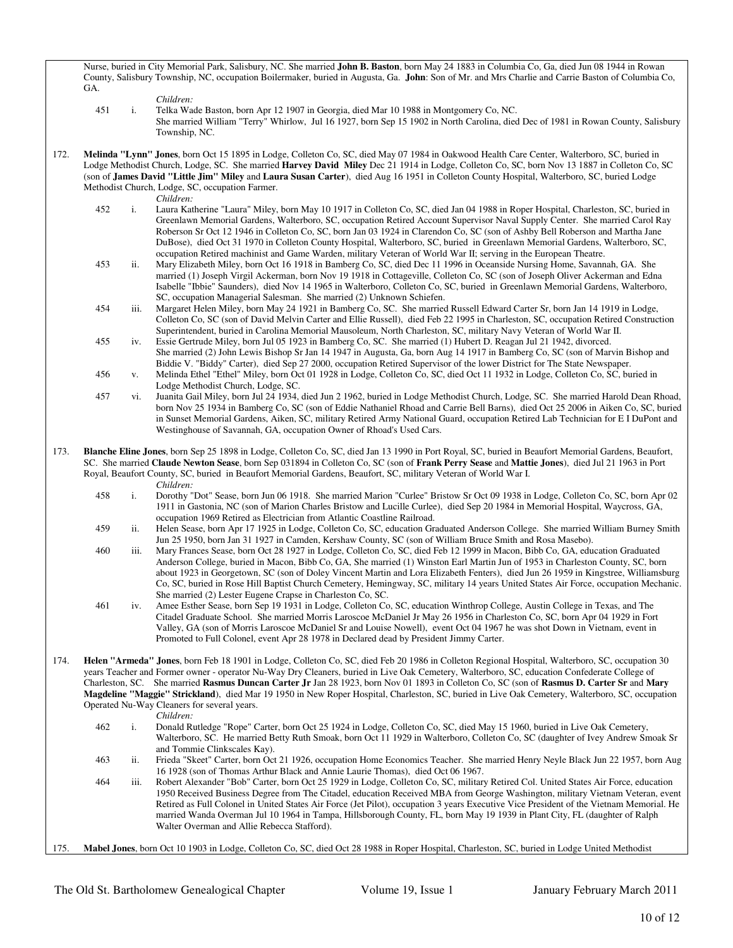Nurse, buried in City Memorial Park, Salisbury, NC. She married **John B. Baston**, born May 24 1883 in Columbia Co, Ga, died Jun 08 1944 in Rowan County, Salisbury Township, NC, occupation Boilermaker, buried in Augusta, Ga. **John**: Son of Mr. and Mrs Charlie and Carrie Baston of Columbia Co, GA.

- *Children:*
- 451 i. Telka Wade Baston, born Apr 12 1907 in Georgia, died Mar 10 1988 in Montgomery Co, NC. She married William "Terry" Whirlow, Jul 16 1927, born Sep 15 1902 in North Carolina, died Dec of 1981 in Rowan County, Salisbury Township, NC.
- 172. **Melinda "Lynn" Jones**, born Oct 15 1895 in Lodge, Colleton Co, SC, died May 07 1984 in Oakwood Health Care Center, Walterboro, SC, buried in Lodge Methodist Church, Lodge, SC. She married **Harvey David Miley** Dec 21 1914 in Lodge, Colleton Co, SC, born Nov 13 1887 in Colleton Co, SC (son of **James David "Little Jim" Miley** and **Laura Susan Carter**), died Aug 16 1951 in Colleton County Hospital, Walterboro, SC, buried Lodge Methodist Church, Lodge, SC, occupation Farmer.
	-
	- *Children:*<br>452 i. Laura Kat Laura Katherine "Laura" Miley, born May 10 1917 in Colleton Co, SC, died Jan 04 1988 in Roper Hospital, Charleston, SC, buried in Greenlawn Memorial Gardens, Walterboro, SC, occupation Retired Account Supervisor Naval Supply Center. She married Carol Ray Roberson Sr Oct 12 1946 in Colleton Co, SC, born Jan 03 1924 in Clarendon Co, SC (son of Ashby Bell Roberson and Martha Jane DuBose), died Oct 31 1970 in Colleton County Hospital, Walterboro, SC, buried in Greenlawn Memorial Gardens, Walterboro, SC, occupation Retired machinist and Game Warden, military Veteran of World War II; serving in the European Theatre.
	- 453 ii. Mary Elizabeth Miley, born Oct 16 1918 in Bamberg Co, SC, died Dec 11 1996 in Oceanside Nursing Home, Savannah, GA. She married (1) Joseph Virgil Ackerman, born Nov 19 1918 in Cottageville, Colleton Co, SC (son of Joseph Oliver Ackerman and Edna Isabelle "Ibbie" Saunders), died Nov 14 1965 in Walterboro, Colleton Co, SC, buried in Greenlawn Memorial Gardens, Walterboro, SC, occupation Managerial Salesman. She married (2) Unknown Schiefen.
	- 454 iii. Margaret Helen Miley, born May 24 1921 in Bamberg Co, SC. She married Russell Edward Carter Sr, born Jan 14 1919 in Lodge, Colleton Co, SC (son of David Melvin Carter and Ellie Russell), died Feb 22 1995 in Charleston, SC, occupation Retired Construction Superintendent, buried in Carolina Memorial Mausoleum, North Charleston, SC, military Navy Veteran of World War II.
	- 455 iv. Essie Gertrude Miley, born Jul 05 1923 in Bamberg Co, SC. She married (1) Hubert D. Reagan Jul 21 1942, divorced. She married (2) John Lewis Bishop Sr Jan 14 1947 in Augusta, Ga, born Aug 14 1917 in Bamberg Co, SC (son of Marvin Bishop and Biddie V. "Biddy" Carter), died Sep 27 2000, occupation Retired Supervisor of the lower District for The State Newspaper.
	- 456 v. Melinda Ethel "Ethel" Miley, born Oct 01 1928 in Lodge, Colleton Co, SC, died Oct 11 1932 in Lodge, Colleton Co, SC, buried in Lodge Methodist Church, Lodge, SC.
	- 457 vi. Juanita Gail Miley, born Jul 24 1934, died Jun 2 1962, buried in Lodge Methodist Church, Lodge, SC. She married Harold Dean Rhoad, born Nov 25 1934 in Bamberg Co, SC (son of Eddie Nathaniel Rhoad and Carrie Bell Barns), died Oct 25 2006 in Aiken Co, SC, buried in Sunset Memorial Gardens, Aiken, SC, military Retired Army National Guard, occupation Retired Lab Technician for E I DuPont and Westinghouse of Savannah, GA, occupation Owner of Rhoad's Used Cars.
- 173. **Blanche Eline Jones**, born Sep 25 1898 in Lodge, Colleton Co, SC, died Jan 13 1990 in Port Royal, SC, buried in Beaufort Memorial Gardens, Beaufort, SC. She married **Claude Newton Sease**, born Sep 031894 in Colleton Co, SC (son of **Frank Perry Sease** and **Mattie Jones**), died Jul 21 1963 in Port Royal, Beaufort County, SC, buried in Beaufort Memorial Gardens, Beaufort, SC, military Veteran of World War I.
	- *Children:*
	- 458 i. Dorothy "Dot" Sease, born Jun 06 1918. She married Marion "Curlee" Bristow Sr Oct 09 1938 in Lodge, Colleton Co, SC, born Apr 02 1911 in Gastonia, NC (son of Marion Charles Bristow and Lucille Curlee), died Sep 20 1984 in Memorial Hospital, Waycross, GA, occupation 1969 Retired as Electrician from Atlantic Coastline Railroad.
	- 459 ii. Helen Sease, born Apr 17 1925 in Lodge, Colleton Co, SC, education Graduated Anderson College. She married William Burney Smith Jun 25 1950, born Jan 31 1927 in Camden, Kershaw County, SC (son of William Bruce Smith and Rosa Masebo).
	- 460 iii. Mary Frances Sease, born Oct 28 1927 in Lodge, Colleton Co, SC, died Feb 12 1999 in Macon, Bibb Co, GA, education Graduated Anderson College, buried in Macon, Bibb Co, GA, She married (1) Winston Earl Martin Jun of 1953 in Charleston County, SC, born about 1923 in Georgetown, SC (son of Doley Vincent Martin and Lora Elizabeth Fenters), died Jun 26 1959 in Kingstree, Williamsburg Co, SC, buried in Rose Hill Baptist Church Cemetery, Hemingway, SC, military 14 years United States Air Force, occupation Mechanic. She married (2) Lester Eugene Crapse in Charleston Co, SC.<br>461 iv Amee Esther Sease horn Sen 19 1931 in Lodge Colleton Co.
	- iv. Amee Esther Sease, born Sep 19 1931 in Lodge, Colleton Co, SC, education Winthrop College, Austin College in Texas, and The Citadel Graduate School. She married Morris Laroscoe McDaniel Jr May 26 1956 in Charleston Co, SC, born Apr 04 1929 in Fort Valley, GA (son of Morris Laroscoe McDaniel Sr and Louise Nowell), event Oct 04 1967 he was shot Down in Vietnam, event in Promoted to Full Colonel, event Apr 28 1978 in Declared dead by President Jimmy Carter.
- 174. **Helen "Armeda" Jones**, born Feb 18 1901 in Lodge, Colleton Co, SC, died Feb 20 1986 in Colleton Regional Hospital, Walterboro, SC, occupation 30 years Teacher and Former owner - operator Nu-Way Dry Cleaners, buried in Live Oak Cemetery, Walterboro, SC, education Confederate College of Charleston, SC. She married **Rasmus Duncan Carter Jr** Jan 28 1923, born Nov 01 1893 in Colleton Co, SC (son of **Rasmus D. Carter Sr** and **Mary Magdeline "Maggie" Strickland**), died Mar 19 1950 in New Roper Hospital, Charleston, SC, buried in Live Oak Cemetery, Walterboro, SC, occupation Operated Nu-Way Cleaners for several years.
	-
	- *Children:*<br>462 i. Donald R i. Donald Rutledge "Rope" Carter, born Oct 25 1924 in Lodge, Colleton Co, SC, died May 15 1960, buried in Live Oak Cemetery, Walterboro, SC. He married Betty Ruth Smoak, born Oct 11 1929 in Walterboro, Colleton Co, SC (daughter of Ivey Andrew Smoak Sr and Tommie Clinkscales Kay).
	- 463 ii. Frieda "Skeet" Carter, born Oct 21 1926, occupation Home Economics Teacher. She married Henry Neyle Black Jun 22 1957, born Aug 16 1928 (son of Thomas Arthur Black and Annie Laurie Thomas), died Oct 06 1967.
	- 464 iii. Robert Alexander "Bob" Carter, born Oct 25 1929 in Lodge, Colleton Co, SC, military Retired Col. United States Air Force, education 1950 Received Business Degree from The Citadel, education Received MBA from George Washington, military Vietnam Veteran, event Retired as Full Colonel in United States Air Force (Jet Pilot), occupation 3 years Executive Vice President of the Vietnam Memorial. He married Wanda Overman Jul 10 1964 in Tampa, Hillsborough County, FL, born May 19 1939 in Plant City, FL (daughter of Ralph Walter Overman and Allie Rebecca Stafford).
- 175. **Mabel Jones**, born Oct 10 1903 in Lodge, Colleton Co, SC, died Oct 28 1988 in Roper Hospital, Charleston, SC, buried in Lodge United Methodist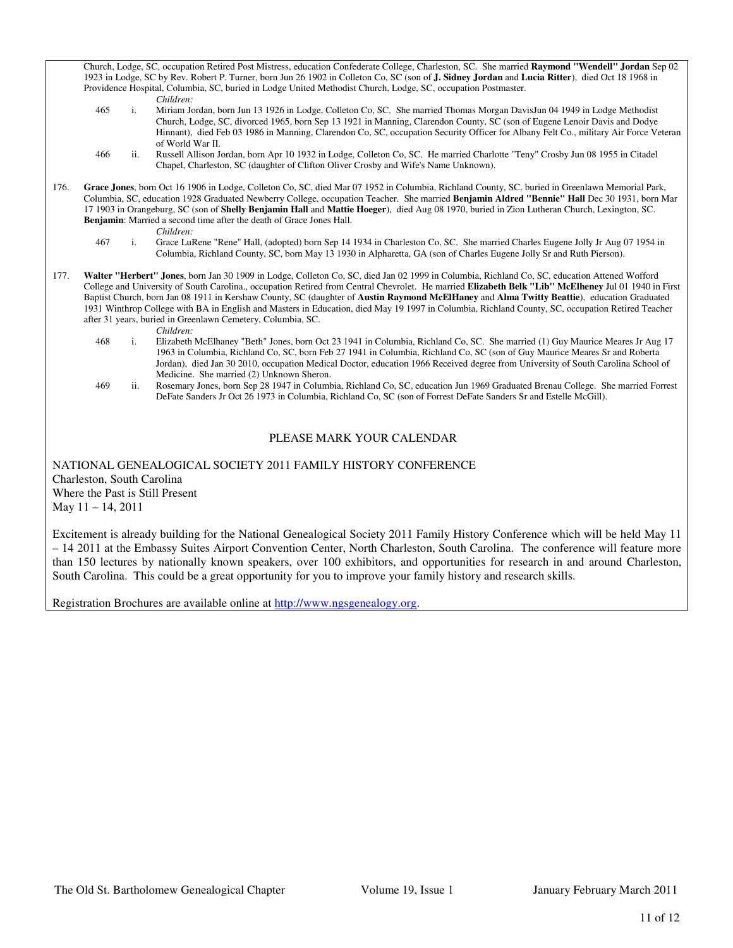Church, Lodge, SC, occupation Retired Post Mistress, education Confederate College, Charleston, SC. She married **Raymond "Wendell" Jordan** Sep 02 1923 in Lodge, SC by Rev. Robert P. Turner, born Jun 26 1902 in Colleton Co, SC (son of **J. Sidney Jordan** and **Lucia Ritter**), died Oct 18 1968 in Providence Hospital, Columbia, SC, buried in Lodge United Methodist Church, Lodge, SC, occupation Postmaster. *Children:*

- 465 i. Miriam Jordan, born Jun 13 1926 in Lodge, Colleton Co, SC. She married Thomas Morgan DavisJun 04 1949 in Lodge Methodist Church, Lodge, SC, divorced 1965, born Sep 13 1921 in Manning, Clarendon County, SC (son of Eugene Lenoir Davis and Dodye Hinnant), died Feb 03 1986 in Manning, Clarendon Co, SC, occupation Security Officer for Albany Felt Co., military Air Force Veteran of World War II.
- 466 ii. Russell Allison Jordan, born Apr 10 1932 in Lodge, Colleton Co, SC. He married Charlotte "Teny" Crosby Jun 08 1955 in Citadel Chapel, Charleston, SC (daughter of Clifton Oliver Crosby and Wife's Name Unknown).
- 176. **Grace Jones**, born Oct 16 1906 in Lodge, Colleton Co, SC, died Mar 07 1952 in Columbia, Richland County, SC, buried in Greenlawn Memorial Park, Columbia, SC, education 1928 Graduated Newberry College, occupation Teacher. She married **Benjamin Aldred "Bennie" Hall** Dec 30 1931, born Mar 17 1903 in Orangeburg, SC (son of **Shelly Benjamin Hall** and **Mattie Hoeger**), died Aug 08 1970, buried in Zion Lutheran Church, Lexington, SC. **Benjamin**: Married a second time after the death of Grace Jones Hall. *Children:*
	- 467 i. Grace LuRene "Rene" Hall, (adopted) born Sep 14 1934 in Charleston Co, SC. She married Charles Eugene Jolly Jr Aug 07 1954 in Columbia, Richland County, SC, born May 13 1930 in Alpharetta, GA (son of Charles Eugene Jolly Sr and Ruth Pierson).
- 177. **Walter "Herbert" Jones**, born Jan 30 1909 in Lodge, Colleton Co, SC, died Jan 02 1999 in Columbia, Richland Co, SC, education Attened Wofford College and University of South Carolina., occupation Retired from Central Chevrolet. He married **Elizabeth Belk "Lib" McElheney** Jul 01 1940 in First Baptist Church, born Jan 08 1911 in Kershaw County, SC (daughter of **Austin Raymond McElHaney** and **Alma Twitty Beattie**), education Graduated 1931 Winthrop College with BA in English and Masters in Education, died May 19 1997 in Columbia, Richland County, SC, occupation Retired Teacher after 31 years, buried in Greenlawn Cemetery, Columbia, SC.
	- *Children:*
	- i. Elizabeth McElhaney "Beth" Jones, born Oct 23 1941 in Columbia, Richland Co, SC. She married (1) Guy Maurice Meares Jr Aug 17 1963 in Columbia, Richland Co, SC, born Feb 27 1941 in Columbia, Richland Co, SC (son of Guy Maurice Meares Sr and Roberta Jordan), died Jan 30 2010, occupation Medical Doctor, education 1966 Received degree from University of South Carolina School of Medicine. She married (2) Unknown Sheron.
	- 469 ii. Rosemary Jones, born Sep 28 1947 in Columbia, Richland Co, SC, education Jun 1969 Graduated Brenau College. She married Forrest DeFate Sanders Jr Oct 26 1973 in Columbia, Richland Co, SC (son of Forrest DeFate Sanders Sr and Estelle McGill).

# PLEASE MARK YOUR CALENDAR

NATIONAL GENEALOGICAL SOCIETY 2011 FAMILY HISTORY CONFERENCE Charleston, South Carolina Where the Past is Still Present May 11 – 14, 2011

Excitement is already building for the National Genealogical Society 2011 Family History Conference which will be held May 11 – 14 2011 at the Embassy Suites Airport Convention Center, North Charleston, South Carolina. The conference will feature more than 150 lectures by nationally known speakers, over 100 exhibitors, and opportunities for research in and around Charleston, South Carolina. This could be a great opportunity for you to improve your family history and research skills.

Registration Brochures are available online at http://www.ngsgenealogy.org.